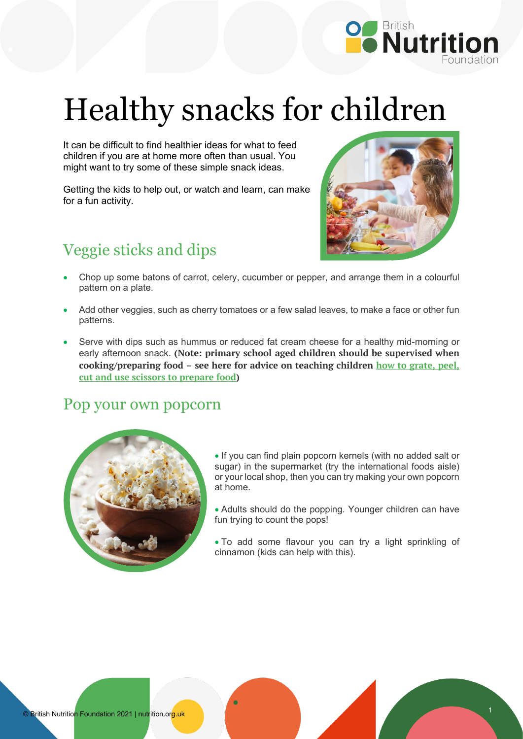

# Healthy snacks for children

It can be difficult to find healthier ideas for what to feed children if you are at home more often than usual. You might want to try some of these simple snack ideas.

Getting the kids to help out, or watch and learn, can make for a fun activity.

## Veggie sticks and dips



- Chop up some batons of carrot, celery, cucumber or pepper, and arrange them in a colourful pattern on a plate.
- Add other veggies, such as cherry tomatoes or a few salad leaves, to make a face or other fun patterns.
- Serve with dips such as hummus or reduced fat cream cheese for a healthy mid-morning or early afternoon snack. **(Note: primary school aged children should be supervised when cooking/preparing food – see here for advice on teaching children [how to grate, peel,](https://www.foodafactoflife.org.uk/media/2655/food-skills-guide-g311.docx)  [cut and use scissors to prepare food\)](https://www.foodafactoflife.org.uk/media/2655/food-skills-guide-g311.docx)**

#### Pop your own popcorn



• If you can find plain popcorn kernels (with no added salt or sugar) in the supermarket (try the international foods aisle) or your local shop, then you can try making your own popcorn at home.

• Adults should do the popping. Younger children can have fun trying to count the pops!

• To add some flavour you can try a light sprinkling of cinnamon (kids can help with this).